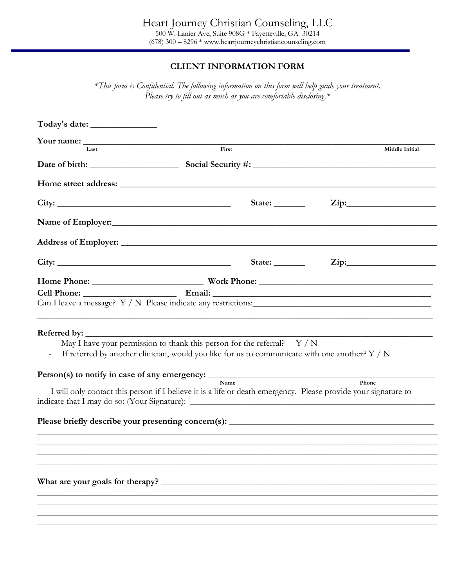# **CLIENT INFORMATION FORM**

*\*This form is Confidential. The following information on this form will help guide your treatment. Please try to fill out as much as you are comfortable disclosing.\** 

| Last                                                                                                                                                                                          | First                                                                                                                         | Middle Initial             |
|-----------------------------------------------------------------------------------------------------------------------------------------------------------------------------------------------|-------------------------------------------------------------------------------------------------------------------------------|----------------------------|
|                                                                                                                                                                                               |                                                                                                                               |                            |
|                                                                                                                                                                                               |                                                                                                                               |                            |
|                                                                                                                                                                                               | State: $\_\_\_\_\_\_\_\_\_\_\_\$                                                                                              | $\overline{\mathrm{Zip:}}$ |
| Name of Employer:                                                                                                                                                                             |                                                                                                                               |                            |
|                                                                                                                                                                                               |                                                                                                                               |                            |
|                                                                                                                                                                                               |                                                                                                                               | State: <u>Zip:</u> Zip:    |
|                                                                                                                                                                                               |                                                                                                                               |                            |
|                                                                                                                                                                                               |                                                                                                                               |                            |
| <b>Referred by:</b><br>May I have your permission to thank this person for the referral? Y/N<br>$\qquad \qquad \blacksquare$<br>$Person(s)$ to notify in case of any emergency: $\frac{1}{s}$ | If referred by another clinician, would you like for us to communicate with one another? Y / N                                |                            |
|                                                                                                                                                                                               | <b>Name</b><br>I will only contact this person if I believe it is a life or death emergency. Please provide your signature to | Phone                      |
|                                                                                                                                                                                               |                                                                                                                               |                            |
|                                                                                                                                                                                               |                                                                                                                               |                            |
|                                                                                                                                                                                               |                                                                                                                               |                            |
|                                                                                                                                                                                               |                                                                                                                               |                            |
|                                                                                                                                                                                               |                                                                                                                               |                            |
|                                                                                                                                                                                               |                                                                                                                               |                            |
|                                                                                                                                                                                               |                                                                                                                               |                            |
|                                                                                                                                                                                               |                                                                                                                               |                            |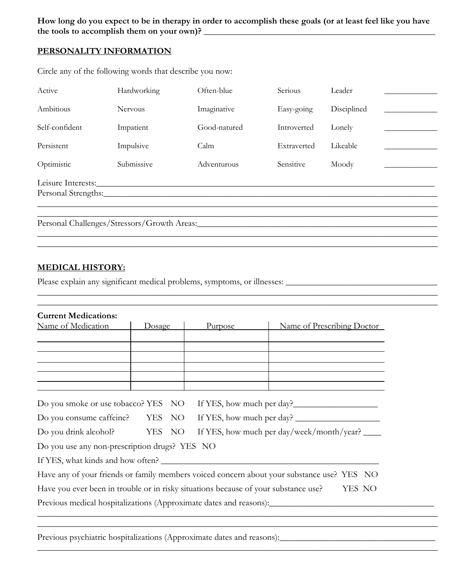**How long do you expect to be in therapy in order to accomplish these goals (or at least feel like you have the tools to accomplish them on your own)? \_\_\_\_\_\_\_\_\_\_\_\_\_\_\_\_\_\_\_\_\_\_\_\_\_\_\_\_\_\_\_\_\_\_\_\_\_\_\_\_\_\_\_\_\_\_\_\_\_\_\_\_**

# **PERSONALITY INFORMATION**

| Active                                    | Hardworking    | Often-blue   | Serious     | Leader      |
|-------------------------------------------|----------------|--------------|-------------|-------------|
| Ambitious                                 | <b>Nervous</b> | Imaginative  | Easy-going  | Disciplined |
| Self-confident                            | Impatient      | Good-natured | Introverted | Lonely      |
| Persistent                                | Impulsive      | Calm         | Extraverted | Likeable    |
| Optimistic                                | Submissive     | Adventurous  | Sensitive   | Moody       |
| Leisure Interests:<br>Personal Strengths: |                |              |             |             |

\_\_\_\_\_\_\_\_\_\_\_\_\_\_\_\_\_\_\_\_\_\_\_\_\_\_\_\_\_\_\_\_\_\_\_\_\_\_\_\_\_\_\_\_\_\_\_\_\_\_\_\_\_\_\_\_\_\_\_\_\_\_\_\_\_\_\_\_\_\_\_\_\_\_\_\_\_\_\_\_\_\_\_\_\_\_\_\_\_\_ \_\_\_\_\_\_\_\_\_\_\_\_\_\_\_\_\_\_\_\_\_\_\_\_\_\_\_\_\_\_\_\_\_\_\_\_\_\_\_\_\_\_\_\_\_\_\_\_\_\_\_\_\_\_\_\_\_\_\_\_\_\_\_\_\_\_\_\_\_\_\_\_\_\_\_\_\_\_\_\_\_\_\_\_\_\_\_\_\_\_

 $\_$  ,  $\_$  ,  $\_$  ,  $\_$  ,  $\_$  ,  $\_$  ,  $\_$  ,  $\_$  ,  $\_$  ,  $\_$  ,  $\_$  ,  $\_$  ,  $\_$  ,  $\_$  ,  $\_$  ,  $\_$  ,  $\_$  ,  $\_$  ,  $\_$  ,  $\_$  ,  $\_$  ,  $\_$  ,  $\_$  ,  $\_$  ,  $\_$  ,  $\_$  ,  $\_$  ,  $\_$  ,  $\_$  ,  $\_$  ,  $\_$  ,  $\_$  ,  $\_$  ,  $\_$  ,  $\_$  ,  $\_$  ,  $\_$  ,

Circle any of the following words that describe you now:

Personal Challenges/Stressors/Growth Areas:\_\_\_\_\_\_\_\_\_\_\_\_\_\_\_\_\_\_\_\_\_\_\_\_\_\_\_\_\_\_\_\_\_\_\_\_\_\_\_\_\_\_\_\_\_\_\_\_\_\_\_\_\_\_

# **MEDICAL HISTORY:**

Please explain any significant medical problems, symptoms, or illnesses: \_\_\_\_\_\_\_\_\_\_\_\_\_\_\_\_\_\_\_\_\_\_\_\_\_\_\_\_\_\_\_\_\_\_

| <b>Current Medications:</b>                                                         |        |         |                                                                                            |
|-------------------------------------------------------------------------------------|--------|---------|--------------------------------------------------------------------------------------------|
| Name of Medication                                                                  | Dosage | Purpose | Name of Prescribing Doctor                                                                 |
|                                                                                     |        |         |                                                                                            |
|                                                                                     |        |         |                                                                                            |
|                                                                                     |        |         |                                                                                            |
|                                                                                     |        |         |                                                                                            |
|                                                                                     |        |         |                                                                                            |
| Do you smoke or use tobacco? YES NO                                                 |        |         | If YES, how much per day?                                                                  |
|                                                                                     |        |         | Do you consume caffeine? YES NO If YES, how much per day?                                  |
| Do you drink alcohol? YES NO                                                        |        |         | If YES, how much per day/week/month/year?                                                  |
| Do you use any non-prescription drugs? YES NO                                       |        |         |                                                                                            |
| If YES, what kinds and how often?                                                   |        |         |                                                                                            |
|                                                                                     |        |         | Have any of your friends or family members voiced concern about your substance use? YES NO |
| Have you ever been in trouble or in risky situations because of your substance use? |        |         | YES NO                                                                                     |
|                                                                                     |        |         |                                                                                            |

\_\_\_\_\_\_\_\_\_\_\_\_\_\_\_\_\_\_\_\_\_\_\_\_\_\_\_\_\_\_\_\_\_\_\_\_\_\_\_\_\_\_\_\_\_\_\_\_\_\_\_\_\_\_\_\_\_\_\_\_\_\_\_\_\_\_\_\_\_\_\_\_\_\_\_\_\_\_\_\_\_\_\_\_\_\_\_\_\_\_

\_\_\_\_\_\_\_\_\_\_\_\_\_\_\_\_\_\_\_\_\_\_\_\_\_\_\_\_\_\_\_\_\_\_\_\_\_\_\_\_\_\_\_\_\_\_\_\_\_\_\_\_\_\_\_\_\_\_\_\_\_\_\_\_\_\_\_\_\_\_\_\_\_\_\_\_\_\_\_\_\_\_\_\_\_\_\_\_\_\_

Previous psychiatric hospitalizations (Approximate dates and reasons):\_\_\_\_\_\_\_\_\_\_\_\_\_\_\_\_\_\_\_\_\_\_\_\_\_\_\_\_\_\_\_\_\_\_\_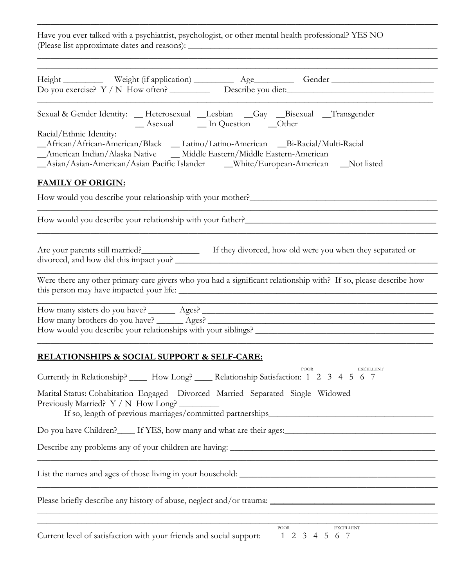Have you ever talked with a psychiatrist, psychologist, or other mental health professional? YES NO (Please list approximate dates and reasons): \_\_\_\_\_\_\_\_\_\_\_\_\_\_\_\_\_\_\_\_\_\_\_\_\_\_\_\_\_\_\_\_\_\_\_\_\_\_\_\_\_\_\_\_\_\_\_\_\_\_\_\_\_\_\_\_

\_\_\_\_\_\_\_\_\_\_\_\_\_\_\_\_\_\_\_\_\_\_\_\_\_\_\_\_\_\_\_\_\_\_\_\_\_\_\_\_\_\_\_\_\_\_\_\_\_\_\_\_\_\_\_\_\_\_\_\_\_\_\_\_\_\_\_\_\_\_\_\_\_\_\_\_\_\_\_\_\_\_\_\_\_\_\_\_\_\_

| Height ____________ Weight (if application) ___________ Age__________ Gender ______________________<br>Do you exercise? Y / N How often? Describe you diet: ____________________________                                                                                           |
|------------------------------------------------------------------------------------------------------------------------------------------------------------------------------------------------------------------------------------------------------------------------------------|
| Sexual & Gender Identity: _ Heterosexual _Lesbian _Gay _Bisexual _Transgender<br>_Asexual __ In Question __Other                                                                                                                                                                   |
| Racial/Ethnic Identity:<br>_African/African-American/Black _ Latino/Latino-American _Bi-Racial/Multi-Racial<br>_American Indian/Alaska Native ___ Middle Eastern/Middle Eastern-American<br>_Asian/Asian-American/Asian Pacific Islander ____White/European-American ___Not listed |
| <b>FAMILY OF ORIGIN:</b>                                                                                                                                                                                                                                                           |
|                                                                                                                                                                                                                                                                                    |
| How would you describe your relationship with your father?                                                                                                                                                                                                                         |
| Are your parents still married?<br>If they divorced, how old were you when they separated or                                                                                                                                                                                       |
| Were there any other primary care givers who you had a significant relationship with? If so, please describe how                                                                                                                                                                   |
| How would you describe your relationships with your siblings?                                                                                                                                                                                                                      |
| <b>RELATIONSHIPS &amp; SOCIAL SUPPORT &amp; SELF-CARE:</b>                                                                                                                                                                                                                         |
| POOR<br>EXCELLENT<br>Currently in Relationship? ______ How Long? ______ Relationship Satisfaction: 1 2 3 4 5 6 7                                                                                                                                                                   |
| Marital Status: Cohabitation Engaged Divorced Married Separated Single Widowed<br>Previously Married? Y / N How Long?                                                                                                                                                              |
|                                                                                                                                                                                                                                                                                    |
|                                                                                                                                                                                                                                                                                    |
| <u> 1989 - Johann Stoff, amerikansk politiker (d. 1989)</u>                                                                                                                                                                                                                        |
| <u> 1980 - Johann John Stone, mars eta bainar eta bainar eta baina eta baina eta baina eta baina eta baina eta b</u>                                                                                                                                                               |
| <u> 1989 - Johann Stoff, Amerikaansk politiker († 1989)</u><br><b>EXCELLENT</b><br><b>POOR</b><br>Current level of satisfaction with your friends and social support:<br>1 2 3 4 5 6 7                                                                                             |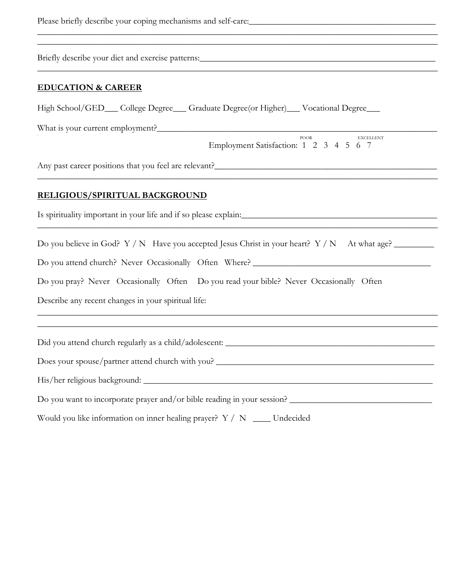Please briefly describe your coping mechanisms and self-care:\_\_\_\_\_\_\_\_\_\_\_\_\_\_\_\_\_\_\_\_\_\_\_\_\_\_\_\_\_\_\_\_\_\_\_\_\_\_\_\_\_\_

Briefly describe your diet and exercise patterns:\_\_\_\_\_\_\_\_\_\_\_\_\_\_\_\_\_\_\_\_\_\_\_\_\_\_\_\_\_\_\_\_

#### **EDUCATION & CAREER**

High School/GED\_\_\_ College Degree\_\_\_ Graduate Degree(or Higher)\_\_\_ Vocational Degree\_\_\_

\_\_\_\_\_\_\_\_\_\_\_\_\_\_\_\_\_\_\_\_\_\_\_\_\_\_\_\_\_\_\_\_\_\_\_\_\_\_\_\_\_\_\_\_\_\_\_\_\_\_\_\_\_\_\_\_\_\_\_\_\_\_\_\_\_\_\_\_\_\_\_\_\_\_\_\_\_\_\_\_\_\_\_\_\_\_\_\_\_\_ \_\_\_\_\_\_\_\_\_\_\_\_\_\_\_\_\_\_\_\_\_\_\_\_\_\_\_\_\_\_\_\_\_\_\_\_\_\_\_\_\_\_\_\_\_\_\_\_\_\_\_\_\_\_\_\_\_\_\_\_\_\_\_\_\_\_\_\_\_\_\_\_\_\_\_\_\_\_\_\_\_\_\_\_\_\_\_\_\_\_

\_\_\_\_\_\_\_\_\_\_\_\_\_\_\_\_\_\_\_\_\_\_\_\_\_\_\_\_\_\_\_\_\_\_\_\_\_\_\_\_\_\_\_\_\_\_\_\_\_\_\_\_\_\_\_\_\_\_\_\_\_\_\_\_\_\_\_\_\_\_\_\_\_\_\_\_\_\_\_\_\_\_\_\_\_\_\_\_\_\_

\_\_\_\_\_\_\_\_\_\_\_\_\_\_\_\_\_\_\_\_\_\_\_\_\_\_\_\_\_\_\_\_\_\_\_\_\_\_\_\_\_\_\_\_\_\_\_\_\_\_\_\_\_\_\_\_\_\_\_\_\_\_\_\_\_\_\_\_\_\_\_\_\_\_\_\_\_\_\_\_\_\_\_\_\_\_\_\_\_\_

\_\_\_\_\_\_\_\_\_\_\_\_\_\_\_\_\_\_\_\_\_\_\_\_\_\_\_\_\_\_\_\_\_\_\_\_\_\_\_\_\_\_\_\_\_\_\_\_\_\_\_\_\_\_\_\_\_\_\_\_\_\_\_\_\_\_\_\_\_\_\_\_\_\_\_\_\_\_\_\_\_\_\_\_\_\_\_\_\_\_

\_\_\_\_\_\_\_\_\_\_\_\_\_\_\_\_\_\_\_\_\_\_\_\_\_\_\_\_\_\_\_\_\_\_\_\_\_\_\_\_\_\_\_\_\_\_\_\_\_\_\_\_\_\_\_\_\_\_\_\_\_\_\_\_\_\_\_\_\_\_\_\_\_\_\_\_\_\_\_\_\_\_\_\_\_\_\_\_\_\_ \_\_\_\_\_\_\_\_\_\_\_\_\_\_\_\_\_\_\_\_\_\_\_\_\_\_\_\_\_\_\_\_\_\_\_\_\_\_\_\_\_\_\_\_\_\_\_\_\_\_\_\_\_\_\_\_\_\_\_\_\_\_\_\_\_\_\_\_\_\_\_\_\_\_\_\_\_\_\_\_\_\_\_\_\_\_\_\_\_\_

What is your current employment?\_\_\_\_\_\_\_\_\_\_\_\_\_\_\_\_\_\_\_\_\_\_\_\_\_\_\_\_\_\_\_\_\_\_\_\_\_\_\_\_\_\_\_\_\_\_\_\_\_\_\_\_\_\_\_\_\_\_\_\_\_\_\_

 POOR EXCELLENT Employment Satisfaction: 1 2 3 4 5 6 7

Any past career positions that you feel are relevant?

### **RELIGIOUS/SPIRITUAL BACKGROUND**

Is spirituality important in your life and if so please explain:

Do you believe in God?  $Y/N$  Have you accepted Jesus Christ in your heart?  $Y/N$  At what age?

Do you attend church? Never Occasionally Often Where? \_\_\_\_\_\_\_\_\_\_\_\_\_\_\_\_\_\_\_\_\_\_\_\_\_\_

Do you pray? Never Occasionally Often Do you read your bible? Never Occasionally Often

Describe any recent changes in your spiritual life:

Did you attend church regularly as a child/adolescent: \_\_\_\_\_\_\_\_\_\_\_\_\_\_\_\_\_\_\_\_\_\_\_\_\_\_\_\_\_\_\_\_\_\_\_\_\_\_\_\_\_\_\_\_\_\_\_

Does your spouse/partner attend church with you? \_\_\_\_\_\_\_\_\_\_\_\_\_\_\_\_\_\_\_\_\_\_\_\_\_\_\_\_\_\_\_\_

His/her religious background: \_\_\_\_\_\_\_\_\_\_\_\_\_\_\_\_\_\_\_\_\_\_\_\_\_\_\_\_\_\_\_\_\_\_\_\_\_\_\_\_\_\_\_\_\_\_\_\_\_\_\_\_\_\_\_\_\_\_\_\_\_\_\_\_\_

Do you want to incorporate prayer and/or bible reading in your session?

Would you like information on inner healing prayer?  $Y / N$  \_\_\_\_\_ Undecided